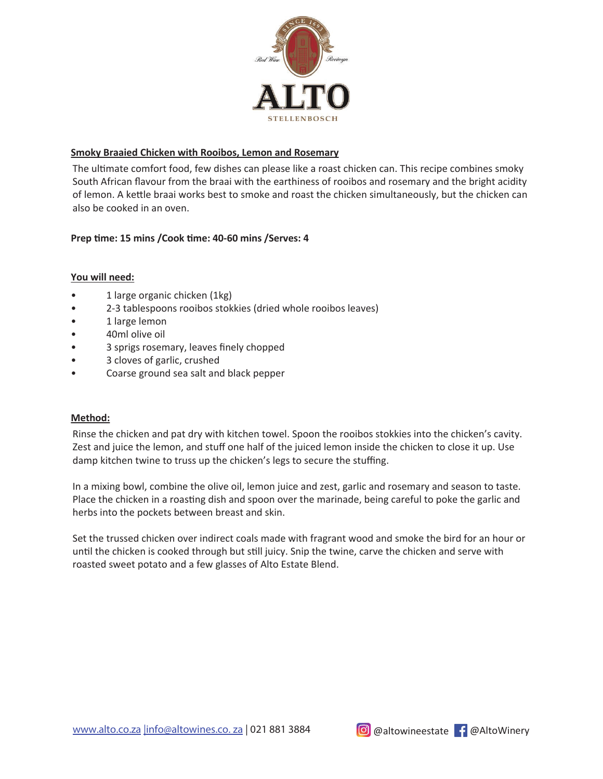

# **Smoky Braaied Chicken with Rooibos, Lemon and Rosemary**

The ultimate comfort food, few dishes can please like a roast chicken can. This recipe combines smoky South African flavour from the braai with the earthiness of rooibos and rosemary and the bright acidity of lemon. A kettle braai works best to smoke and roast the chicken simultaneously, but the chicken can also be cooked in an oven.

# Prep time: 15 mins /Cook time: 40-60 mins /Serves: 4

### **You will need:**

- 1 large organic chicken (1kg)
- 2-3 tablespoons rooibos stokkies (dried whole rooibos leaves)
- 1 large lemon
- 40ml olive oil
- 3 sprigs rosemary, leaves finely chopped
- 3 cloves of garlic, crushed
- Coarse ground sea salt and black pepper

### **Method:**

Rinse the chicken and pat dry with kitchen towel. Spoon the rooibos stokkies into the chicken's cavity. Zest and juice the lemon, and stuff one half of the juiced lemon inside the chicken to close it up. Use damp kitchen twine to truss up the chicken's legs to secure the stuffing.

In a mixing bowl, combine the olive oil, lemon juice and zest, garlic and rosemary and season to taste. Place the chicken in a roasting dish and spoon over the marinade, being careful to poke the garlic and herbs into the pockets between breast and skin.

Set the trussed chicken over indirect coals made with fragrant wood and smoke the bird for an hour or until the chicken is cooked through but still juicy. Snip the twine, carve the chicken and serve with roasted sweet potato and a few glasses of Alto Estate Blend.